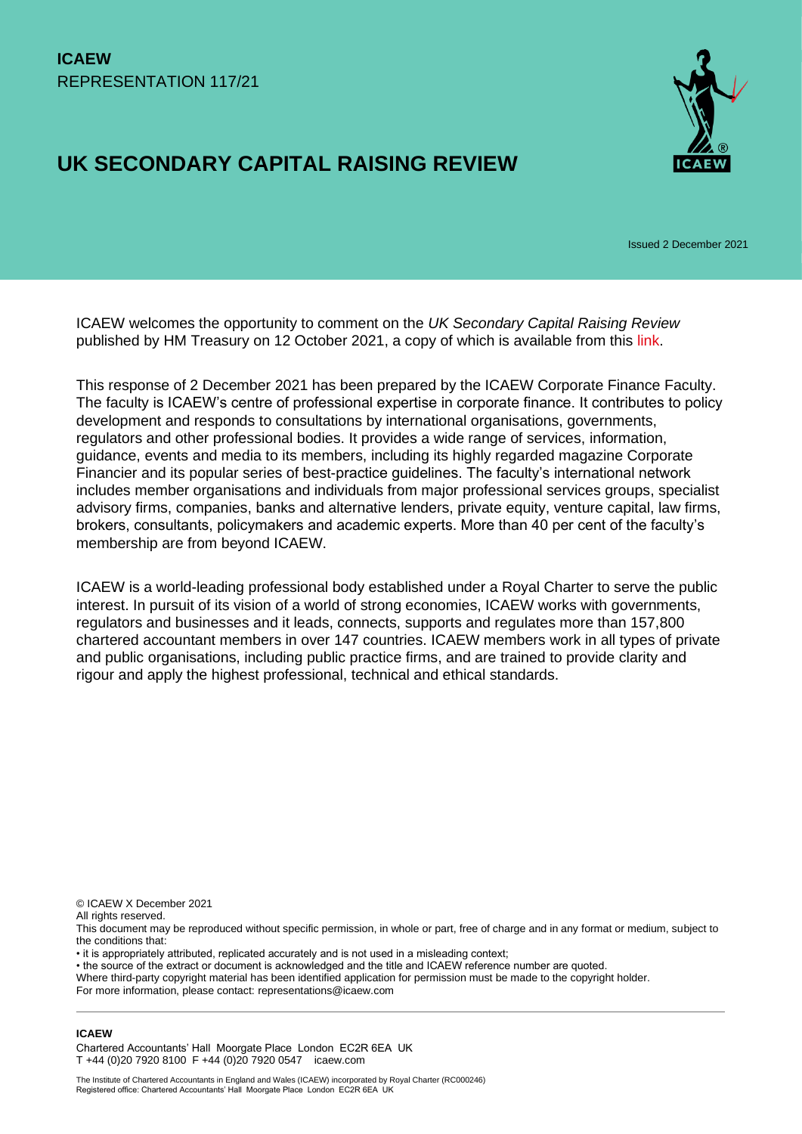# **UK SECONDARY CAPITAL RAISING REVIEW**



Issued 2 December 2021

ICAEW welcomes the opportunity to comment on the *UK Secondary Capital Raising Review* published by HM Treasury on 12 October 2021, a copy of which is available from this [link.](https://www.gov.uk/government/publications/uk-secondary-capital-raising-review)

This response of 2 December 2021 has been prepared by the ICAEW Corporate Finance Faculty. The faculty is ICAEW's centre of professional expertise in corporate finance. It contributes to policy development and responds to consultations by international organisations, governments, regulators and other professional bodies. It provides a wide range of services, information, guidance, events and media to its members, including its highly regarded magazine Corporate Financier and its popular series of best-practice guidelines. The faculty's international network includes member organisations and individuals from major professional services groups, specialist advisory firms, companies, banks and alternative lenders, private equity, venture capital, law firms, brokers, consultants, policymakers and academic experts. More than 40 per cent of the faculty's membership are from beyond ICAEW.

ICAEW is a world-leading professional body established under a Royal Charter to serve the public interest. In pursuit of its vision of a world of strong economies, ICAEW works with governments, regulators and businesses and it leads, connects, supports and regulates more than 157,800 chartered accountant members in over 147 countries. ICAEW members work in all types of private and public organisations, including public practice firms, and are trained to provide clarity and rigour and apply the highest professional, technical and ethical standards.

© ICAEW X December 2021

All rights reserved.

This document may be reproduced without specific permission, in whole or part, free of charge and in any format or medium, subject to the conditions that:

• it is appropriately attributed, replicated accurately and is not used in a misleading context;

• the source of the extract or document is acknowledged and the title and ICAEW reference number are quoted.

Where third-party copyright material has been identified application for permission must be made to the copyright holder.

For more information, please contact: representations@icaew.com

#### **ICAEW**

Chartered Accountants' Hall Moorgate Place London EC2R 6EA UK T +44 (0)20 7920 8100 F +44 (0)20 7920 0547 icaew.com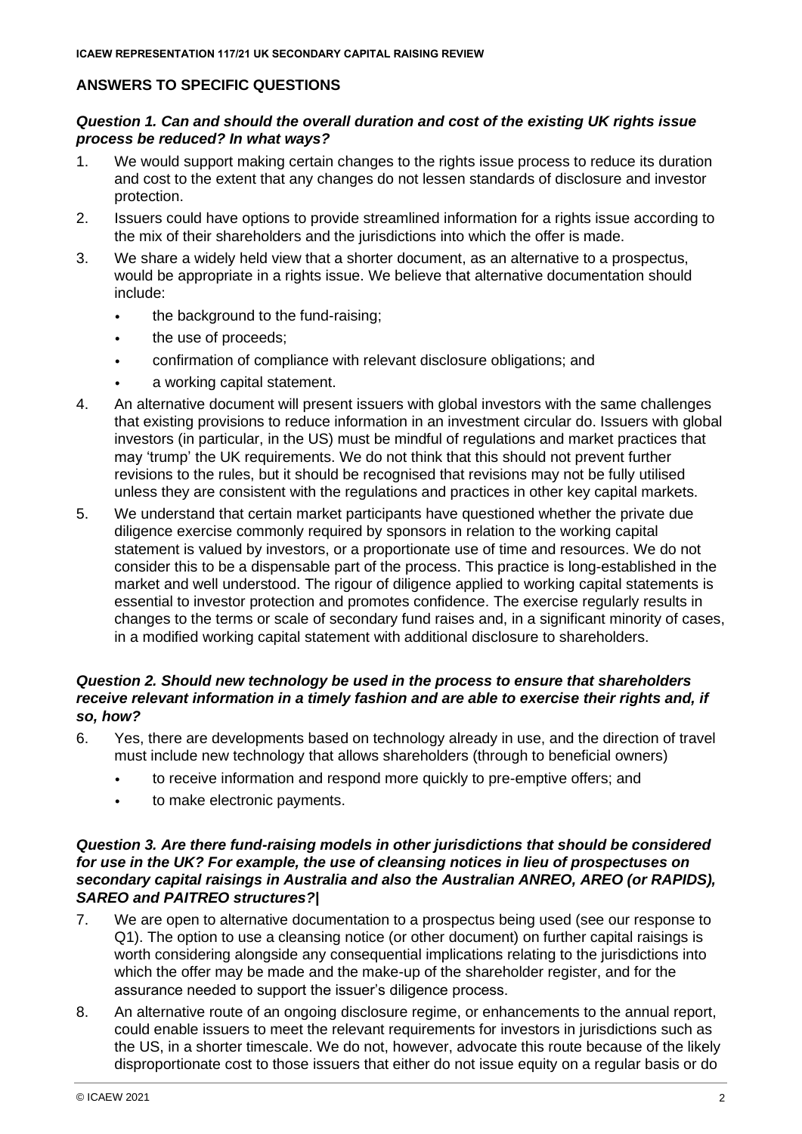# **ANSWERS TO SPECIFIC QUESTIONS**

## *Question 1. Can and should the overall duration and cost of the existing UK rights issue process be reduced? In what ways?*

- 1. We would support making certain changes to the rights issue process to reduce its duration and cost to the extent that any changes do not lessen standards of disclosure and investor protection.
- 2. Issuers could have options to provide streamlined information for a rights issue according to the mix of their shareholders and the jurisdictions into which the offer is made.
- 3. We share a widely held view that a shorter document, as an alternative to a prospectus, would be appropriate in a rights issue. We believe that alternative documentation should include:
	- the background to the fund-raising;
	- the use of proceeds;
	- confirmation of compliance with relevant disclosure obligations; and
	- a working capital statement.
- 4. An alternative document will present issuers with global investors with the same challenges that existing provisions to reduce information in an investment circular do. Issuers with global investors (in particular, in the US) must be mindful of regulations and market practices that may 'trump' the UK requirements. We do not think that this should not prevent further revisions to the rules, but it should be recognised that revisions may not be fully utilised unless they are consistent with the regulations and practices in other key capital markets.
- 5. We understand that certain market participants have questioned whether the private due diligence exercise commonly required by sponsors in relation to the working capital statement is valued by investors, or a proportionate use of time and resources. We do not consider this to be a dispensable part of the process. This practice is long-established in the market and well understood. The rigour of diligence applied to working capital statements is essential to investor protection and promotes confidence. The exercise regularly results in changes to the terms or scale of secondary fund raises and, in a significant minority of cases, in a modified working capital statement with additional disclosure to shareholders.

#### *Question 2. Should new technology be used in the process to ensure that shareholders receive relevant information in a timely fashion and are able to exercise their rights and, if so, how?*

- 6. Yes, there are developments based on technology already in use, and the direction of travel must include new technology that allows shareholders (through to beneficial owners)
	- to receive information and respond more quickly to pre-emptive offers; and
	- to make electronic payments.

#### *Question 3. Are there fund-raising models in other jurisdictions that should be considered for use in the UK? For example, the use of cleansing notices in lieu of prospectuses on secondary capital raisings in Australia and also the Australian ANREO, AREO (or RAPIDS), SAREO and PAITREO structures?|*

- 7. We are open to alternative documentation to a prospectus being used (see our response to Q1). The option to use a cleansing notice (or other document) on further capital raisings is worth considering alongside any consequential implications relating to the jurisdictions into which the offer may be made and the make-up of the shareholder register, and for the assurance needed to support the issuer's diligence process.
- 8. An alternative route of an ongoing disclosure regime, or enhancements to the annual report, could enable issuers to meet the relevant requirements for investors in jurisdictions such as the US, in a shorter timescale. We do not, however, advocate this route because of the likely disproportionate cost to those issuers that either do not issue equity on a regular basis or do